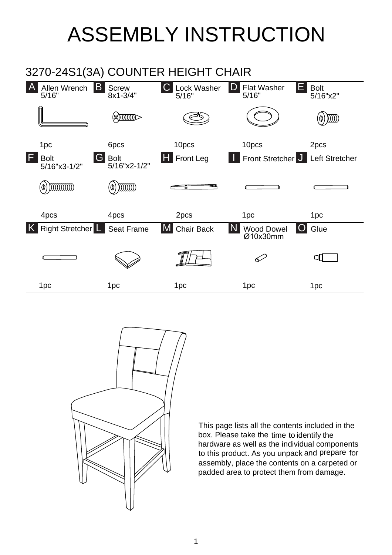## ASSEMBLY INSTRUCTION





This page lists all the contents included in the box. Please take the time to identify the hardware as well as the individual components This page lists all the contents included in the<br>box. Please take the time to identify the<br>hardware as well as the individual components<br>to this product. As you unpack and prepare for naruware as well as the individual components<br>to this product. As you unpack and prepare fol<br>assembly, place the contents on a carpeted or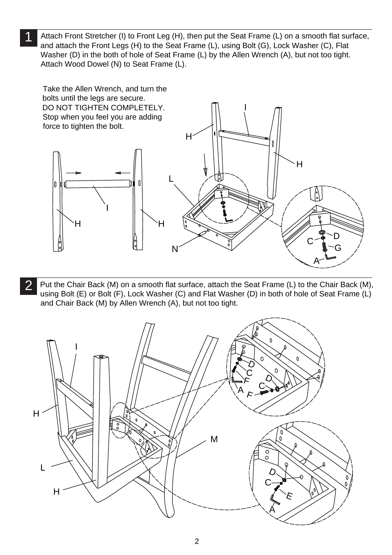1 Attach Wood Dowel (N) to Seat Frame (L). Attach Front Stretcher (I) to Front Leg (H), then put the Seat Frame (L) on a smooth flat surface, Attach Front Stretcher (I) to Front Leg (H), then put the Seat Frame (L) on a smooth flat su<br>and attach the Front Legs (H) to the Seat Frame (L), using Bolt (G), Lock Washer (C), Flat and attach the Front Legs (H) to the Seat Frame (L), using Bolt (G), Lock Washer (C), Flat<br>Washer (D) in the both of hole of Seat Frame (L) by the Allen Wrench (A), but not too tight. Washer (D) in the both of hole of Seat Frai<br>Attach Wood Dowel (N) to Seat Frame (L).



 $\overline{2}$ Put the Chair Back (M) on a smooth flat surface, attach the Seat Frame (L) to the Chair Back (M)<br>using Bolt (E) or Bolt (F), Lock Washer (C) and Flat Washer (D) in both of hole of Seat Frame (L) using Bolt (E) or Bolt (F), Lock Washer (C) and Flat Washer (D) in both of hole of Seat Frame (L) and Chair Back (M) by Allen Wrench (A), but not too tight.